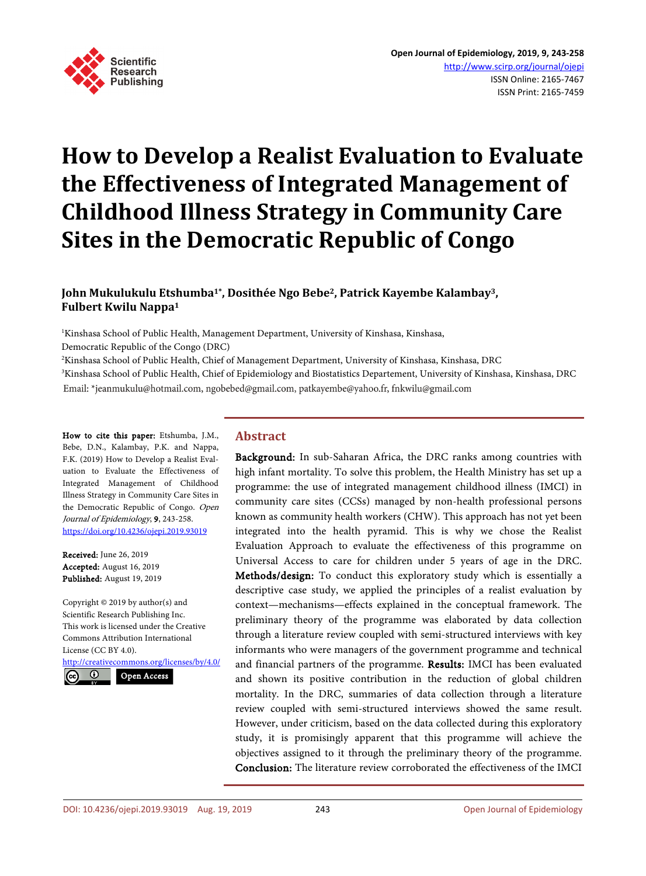

# **How to Develop a Realist Evaluation to Evaluate the Effectiveness of Integrated Management of Childhood Illness Strategy in Community Care Sites in the Democratic Republic of Congo**

# **John Mukulukulu Etshumba1\*, Dosithée Ngo Bebe2, Patrick Kayembe Kalambay3, Fulbert Kwilu Nappa1**

1 Kinshasa School of Public Health, Management Department, University of Kinshasa, Kinshasa,

Democratic Republic of the Congo (DRC)

2 Kinshasa School of Public Health, Chief of Management Department, University of Kinshasa, Kinshasa, DRC

3 Kinshasa School of Public Health, Chief of Epidemiology and Biostatistics Departement, University of Kinshasa, Kinshasa, DRC Email: \*jeanmukulu@hotmail.com, ngobebed@gmail.com, patkayembe@yahoo.fr, fnkwilu@gmail.com

How to cite this paper: Etshumba, J.M., Bebe, D.N., Kalambay, P.K. and Nappa, F.K. (2019) How to Develop a Realist Evaluation to Evaluate the Effectiveness of Integrated Management of Childhood Illness Strategy in Community Care Sites in the Democratic Republic of Congo. Open Journal of Epidemiology, 9, 243-258. <https://doi.org/10.4236/ojepi.2019.93019>

Received: June 26, 2019 Accepted: August 16, 2019 Published: August 19, 2019

Copyright © 2019 by author(s) and Scientific Research Publishing Inc. This work is licensed under the Creative Commons Attribution International License (CC BY 4.0). <http://creativecommons.org/licenses/by/4.0/>  $\odot$ Open Access

# **Abstract**

Background: In sub-Saharan Africa, the DRC ranks among countries with high infant mortality. To solve this problem, the Health Ministry has set up a programme: the use of integrated management childhood illness (IMCI) in community care sites (CCSs) managed by non-health professional persons known as community health workers (CHW). This approach has not yet been integrated into the health pyramid. This is why we chose the Realist Evaluation Approach to evaluate the effectiveness of this programme on Universal Access to care for children under 5 years of age in the DRC. Methods/design: To conduct this exploratory study which is essentially a descriptive case study, we applied the principles of a realist evaluation by context—mechanisms—effects explained in the conceptual framework. The preliminary theory of the programme was elaborated by data collection through a literature review coupled with semi-structured interviews with key informants who were managers of the government programme and technical and financial partners of the programme. Results: IMCI has been evaluated and shown its positive contribution in the reduction of global children mortality. In the DRC, summaries of data collection through a literature review coupled with semi-structured interviews showed the same result. However, under criticism, based on the data collected during this exploratory study, it is promisingly apparent that this programme will achieve the objectives assigned to it through the preliminary theory of the programme. Conclusion: The literature review corroborated the effectiveness of the IMCI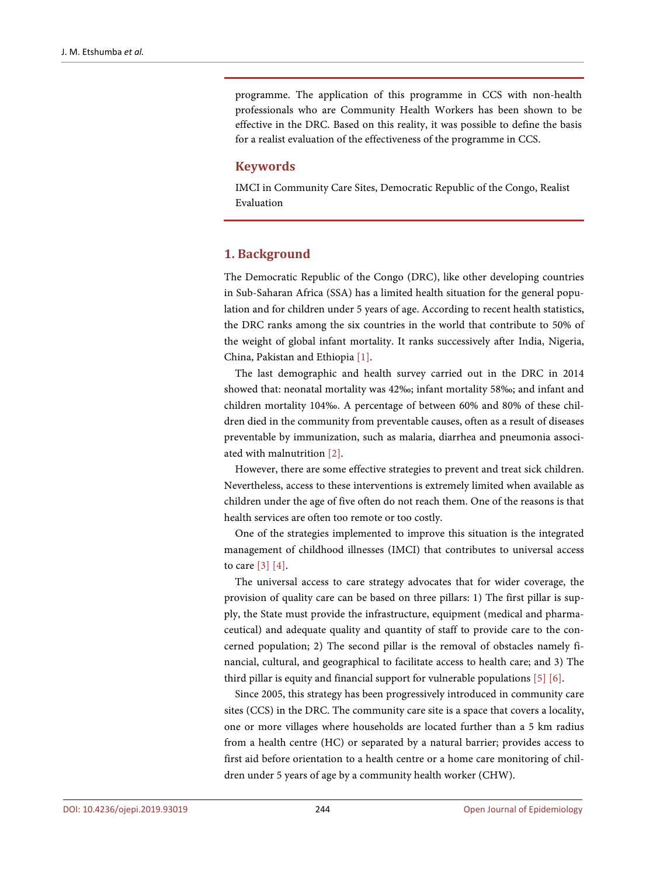programme. The application of this programme in CCS with non-health professionals who are Community Health Workers has been shown to be effective in the DRC. Based on this reality, it was possible to define the basis for a realist evaluation of the effectiveness of the programme in CCS.

### **Keywords**

IMCI in Community Care Sites, Democratic Republic of the Congo, Realist Evaluation

## **1. Background**

The Democratic Republic of the Congo (DRC), like other developing countries in Sub-Saharan Africa (SSA) has a limited health situation for the general population and for children under 5 years of age. According to recent health statistics, the DRC ranks among the six countries in the world that contribute to 50% of the weight of global infant mortality. It ranks successively after India, Nigeria, China, Pakistan and Ethiopia [\[1\].](#page-12-0)

The last demographic and health survey carried out in the DRC in 2014 showed that: neonatal mortality was 42‰; infant mortality 58‰; and infant and children mortality 104‰. A percentage of between 60% and 80% of these children died in the community from preventable causes, often as a result of diseases preventable by immunization, such as malaria, diarrhea and pneumonia associated with malnutrition [\[2\].](#page-12-1)

However, there are some effective strategies to prevent and treat sick children. Nevertheless, access to these interventions is extremely limited when available as children under the age of five often do not reach them. One of the reasons is that health services are often too remote or too costly.

One of the strategies implemented to improve this situation is the integrated management of childhood illnesses (IMCI) that contributes to universal access to care [\[3\]](#page-12-2) [\[4\].](#page-12-3)

The universal access to care strategy advocates that for wider coverage, the provision of quality care can be based on three pillars: 1) The first pillar is supply, the State must provide the infrastructure, equipment (medical and pharmaceutical) and adequate quality and quantity of staff to provide care to the concerned population; 2) The second pillar is the removal of obstacles namely financial, cultural, and geographical to facilitate access to health care; and 3) The third pillar is equity and financial support for vulnerable populations [\[5\]](#page-12-4) [\[6\].](#page-13-0)

Since 2005, this strategy has been progressively introduced in community care sites (CCS) in the DRC. The community care site is a space that covers a locality, one or more villages where households are located further than a 5 km radius from a health centre (HC) or separated by a natural barrier; provides access to first aid before orientation to a health centre or a home care monitoring of children under 5 years of age by a community health worker (CHW).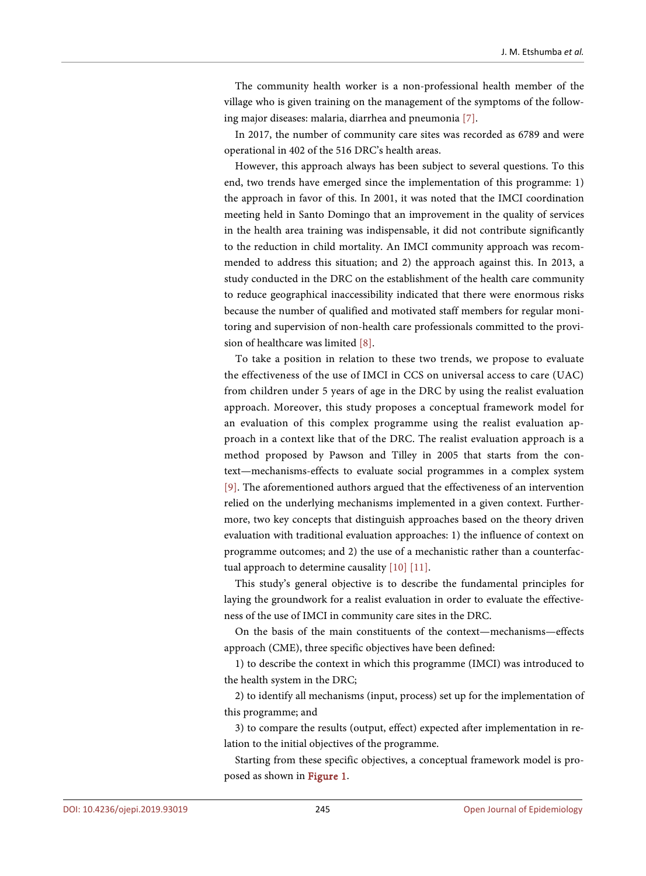The community health worker is a non-professional health member of the village who is given training on the management of the symptoms of the following major diseases: malaria, diarrhea and pneumonia [\[7\].](#page-13-1)

In 2017, the number of community care sites was recorded as 6789 and were operational in 402 of the 516 DRC's health areas.

However, this approach always has been subject to several questions. To this end, two trends have emerged since the implementation of this programme: 1) the approach in favor of this. In 2001, it was noted that the IMCI coordination meeting held in Santo Domingo that an improvement in the quality of services in the health area training was indispensable, it did not contribute significantly to the reduction in child mortality. An IMCI community approach was recommended to address this situation; and 2) the approach against this. In 2013, a study conducted in the DRC on the establishment of the health care community to reduce geographical inaccessibility indicated that there were enormous risks because the number of qualified and motivated staff members for regular monitoring and supervision of non-health care professionals committed to the provision of healthcare was limited [\[8\].](#page-13-2)

To take a position in relation to these two trends, we propose to evaluate the effectiveness of the use of IMCI in CCS on universal access to care (UAC) from children under 5 years of age in the DRC by using the realist evaluation approach. Moreover, this study proposes a conceptual framework model for an evaluation of this complex programme using the realist evaluation approach in a context like that of the DRC. The realist evaluation approach is a method proposed by Pawson and Tilley in 2005 that starts from the context—mechanisms-effects to evaluate social programmes in a complex system [\[9\].](#page-13-3) The aforementioned authors argued that the effectiveness of an intervention relied on the underlying mechanisms implemented in a given context. Furthermore, two key concepts that distinguish approaches based on the theory driven evaluation with traditional evaluation approaches: 1) the influence of context on programme outcomes; and 2) the use of a mechanistic rather than a counterfactual approach to determine causalit[y \[10\]](#page-13-4) [\[11\].](#page-13-5)

This study's general objective is to describe the fundamental principles for laying the groundwork for a realist evaluation in order to evaluate the effectiveness of the use of IMCI in community care sites in the DRC.

On the basis of the main constituents of the context—mechanisms—effects approach (CME), three specific objectives have been defined:

1) to describe the context in which this programme (IMCI) was introduced to the health system in the DRC;

2) to identify all mechanisms (input, process) set up for the implementation of this programme; and

3) to compare the results (output, effect) expected after implementation in relation to the initial objectives of the programme.

Starting from these specific objectives, a conceptual framework model is proposed as shown in [Figure 1.](#page-3-0)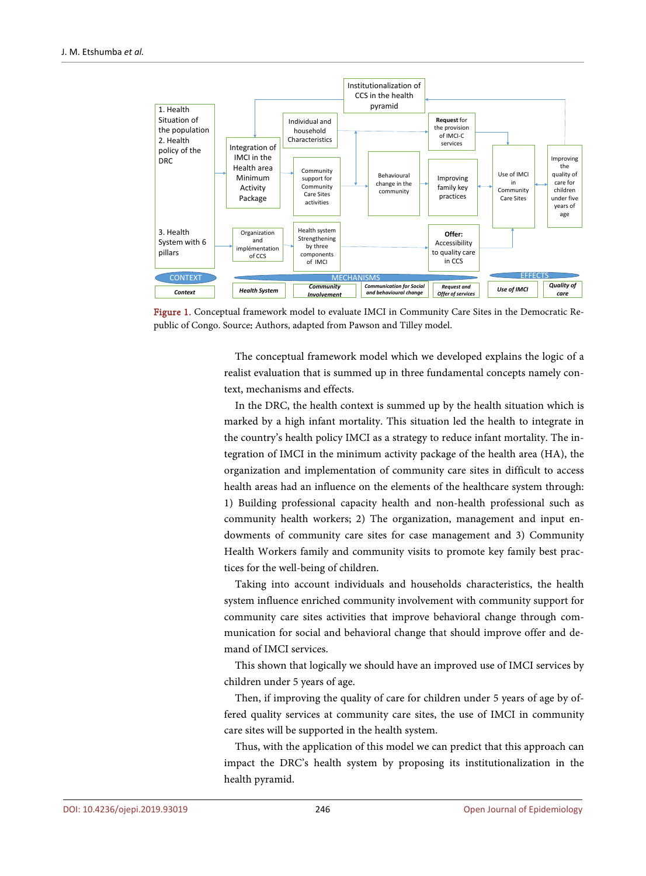<span id="page-3-0"></span>

Figure 1. Conceptual framework model to evaluate IMCI in Community Care Sites in the Democratic Republic of Congo. Source: Authors, adapted from Pawson and Tilley model.

The conceptual framework model which we developed explains the logic of a realist evaluation that is summed up in three fundamental concepts namely context, mechanisms and effects.

In the DRC, the health context is summed up by the health situation which is marked by a high infant mortality. This situation led the health to integrate in the country's health policy IMCI as a strategy to reduce infant mortality. The integration of IMCI in the minimum activity package of the health area (HA), the organization and implementation of community care sites in difficult to access health areas had an influence on the elements of the healthcare system through: 1) Building professional capacity health and non-health professional such as community health workers; 2) The organization, management and input endowments of community care sites for case management and 3) Community Health Workers family and community visits to promote key family best practices for the well-being of children.

Taking into account individuals and households characteristics, the health system influence enriched community involvement with community support for community care sites activities that improve behavioral change through communication for social and behavioral change that should improve offer and demand of IMCI services.

This shown that logically we should have an improved use of IMCI services by children under 5 years of age.

Then, if improving the quality of care for children under 5 years of age by offered quality services at community care sites, the use of IMCI in community care sites will be supported in the health system.

Thus, with the application of this model we can predict that this approach can impact the DRC's health system by proposing its institutionalization in the health pyramid.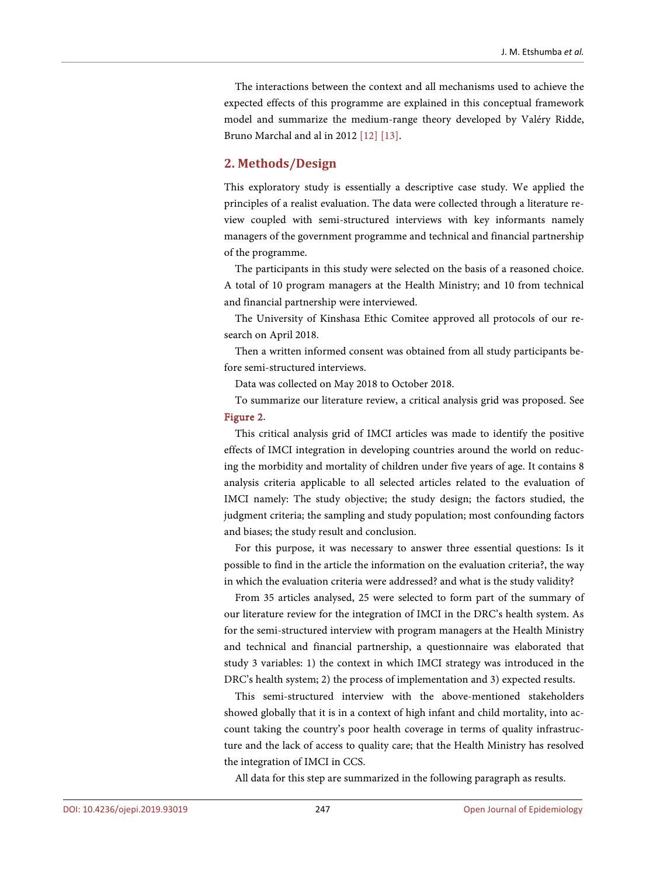The interactions between the context and all mechanisms used to achieve the expected effects of this programme are explained in this conceptual framework model and summarize the medium-range theory developed by Valéry Ridde, Bruno Marchal and al in 2012 [\[12\]](#page-13-6) [\[13\].](#page-13-7)

# **2. Methods/Design**

This exploratory study is essentially a descriptive case study. We applied the principles of a realist evaluation. The data were collected through a literature review coupled with semi-structured interviews with key informants namely managers of the government programme and technical and financial partnership of the programme.

The participants in this study were selected on the basis of a reasoned choice. A total of 10 program managers at the Health Ministry; and 10 from technical and financial partnership were interviewed.

The University of Kinshasa Ethic Comitee approved all protocols of our research on April 2018.

Then a written informed consent was obtained from all study participants before semi-structured interviews.

Data was collected on May 2018 to October 2018.

To summarize our literature review, a critical analysis grid was proposed. See [Figure 2.](#page-5-0)

This critical analysis grid of IMCI articles was made to identify the positive effects of IMCI integration in developing countries around the world on reducing the morbidity and mortality of children under five years of age. It contains 8 analysis criteria applicable to all selected articles related to the evaluation of IMCI namely: The study objective; the study design; the factors studied, the judgment criteria; the sampling and study population; most confounding factors and biases; the study result and conclusion.

For this purpose, it was necessary to answer three essential questions: Is it possible to find in the article the information on the evaluation criteria?, the way in which the evaluation criteria were addressed? and what is the study validity?

From 35 articles analysed, 25 were selected to form part of the summary of our literature review for the integration of IMCI in the DRC's health system. As for the semi-structured interview with program managers at the Health Ministry and technical and financial partnership, a questionnaire was elaborated that study 3 variables: 1) the context in which IMCI strategy was introduced in the DRC's health system; 2) the process of implementation and 3) expected results.

This semi-structured interview with the above-mentioned stakeholders showed globally that it is in a context of high infant and child mortality, into account taking the country's poor health coverage in terms of quality infrastructure and the lack of access to quality care; that the Health Ministry has resolved the integration of IMCI in CCS.

All data for this step are summarized in the following paragraph as results.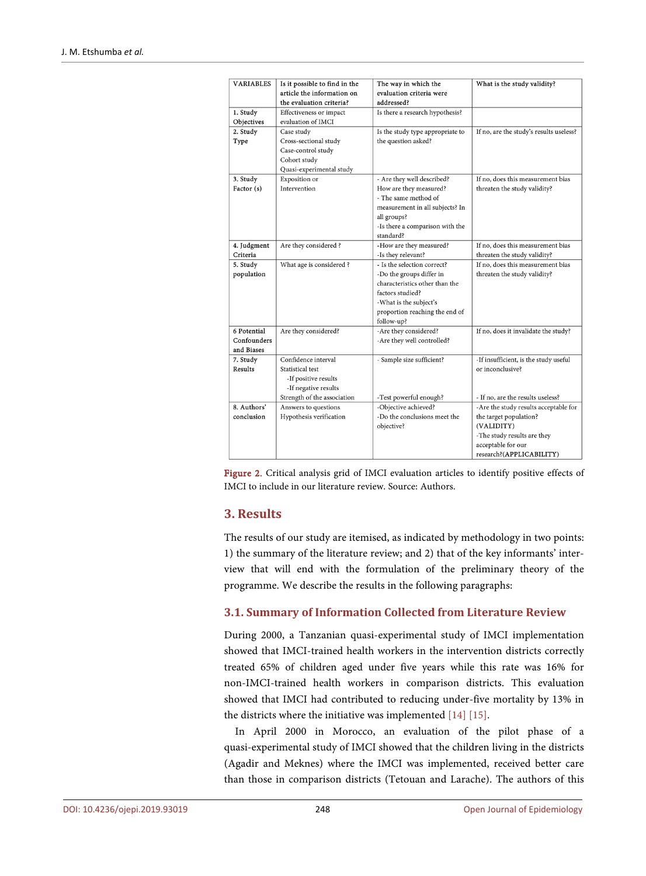<span id="page-5-0"></span>

| <b>VARIABLES</b>                         | Is it possible to find in the<br>article the information on<br>the evaluation criteria?                                | The way in which the<br>evaluation criteria were<br>addressed?                                                                                                                          | What is the study validity?                                                                                                                                    |
|------------------------------------------|------------------------------------------------------------------------------------------------------------------------|-----------------------------------------------------------------------------------------------------------------------------------------------------------------------------------------|----------------------------------------------------------------------------------------------------------------------------------------------------------------|
| 1. Study<br>Objectives                   | Effectiveness or impact<br>evaluation of IMCI                                                                          | Is there a research hypothesis?                                                                                                                                                         |                                                                                                                                                                |
| 2. Study                                 | Case study                                                                                                             | Is the study type appropriate to                                                                                                                                                        | If no, are the study's results useless?                                                                                                                        |
| Type                                     | Cross-sectional study<br>Case-control study<br>Cohort study<br>Quasi-experimental study                                | the question asked?                                                                                                                                                                     |                                                                                                                                                                |
| 3. Study<br>Factor (s)                   | Exposition or<br>Intervention                                                                                          | - Are they well described?<br>How are they measured?<br>- The same method of<br>measurement in all subjects? In<br>all groups?<br>-Is there a comparison with the<br>standard?          | If no, does this measurement bias<br>threaten the study validity?                                                                                              |
| 4. Judgment<br>Criteria                  | Are they considered?                                                                                                   | -How are they measured?<br>-Is they relevant?                                                                                                                                           | If no, does this measurement bias<br>threaten the study validity?                                                                                              |
| 5. Study<br>population                   | What age is considered ?                                                                                               | - Is the selection correct?<br>-Do the groups differ in<br>characteristics other than the<br>factors studied?<br>-What is the subject's<br>proportion reaching the end of<br>follow-up? | If no, does this measurement bias<br>threaten the study validity?                                                                                              |
| 6 Potential<br>Confounders<br>and Biases | Are they considered?                                                                                                   | -Are they considered?<br>-Are they well controlled?                                                                                                                                     | If no, does it invalidate the study?                                                                                                                           |
| 7. Study<br>Results                      | Confidence interval<br>Statistical test<br>-If positive results<br>-If negative results<br>Strength of the association | - Sample size sufficient?<br>-Test powerful enough?                                                                                                                                     | -If insufficient, is the study useful<br>or inconclusive?<br>- If no, are the results useless?                                                                 |
| 8. Authors'<br>conclusion                | Answers to questions<br>Hypothesis verification                                                                        | -Objective achieved?<br>-Do the conclusions meet the<br>objective?                                                                                                                      | -Are the study results acceptable for<br>the target population?<br>(VALIDITY)<br>-The study results are they<br>acceptable for our<br>research?(APPLICABILITY) |

Figure 2. Critical analysis grid of IMCI evaluation articles to identify positive effects of IMCI to include in our literature review. Source: Authors.

# **3. Results**

The results of our study are itemised, as indicated by methodology in two points: 1) the summary of the literature review; and 2) that of the key informants' interview that will end with the formulation of the preliminary theory of the programme. We describe the results in the following paragraphs:

# **3.1. Summary of Information Collected from Literature Review**

During 2000, a Tanzanian quasi-experimental study of IMCI implementation showed that IMCI-trained health workers in the intervention districts correctly treated 65% of children aged under five years while this rate was 16% for non-IMCI-trained health workers in comparison districts. This evaluation showed that IMCI had contributed to reducing under-five mortality by 13% in the districts where the initiative was implemented [\[14\]](#page-13-8) [\[15\].](#page-13-9)

In April 2000 in Morocco, an evaluation of the pilot phase of a quasi-experimental study of IMCI showed that the children living in the districts (Agadir and Meknes) where the IMCI was implemented, received better care than those in comparison districts (Tetouan and Larache). The authors of this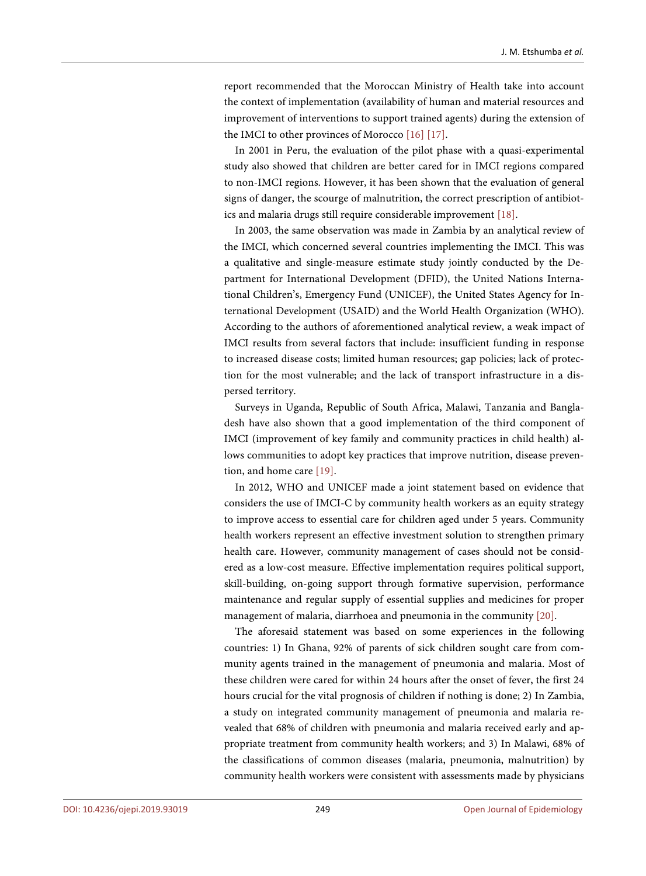report recommended that the Moroccan Ministry of Health take into account the context of implementation (availability of human and material resources and improvement of interventions to support trained agents) during the extension of the IMCI to other provinces of Morocc[o \[16\]](#page-13-10) [\[17\].](#page-13-11)

In 2001 in Peru, the evaluation of the pilot phase with a quasi-experimental study also showed that children are better cared for in IMCI regions compared to non-IMCI regions. However, it has been shown that the evaluation of general signs of danger, the scourge of malnutrition, the correct prescription of antibiotics and malaria drugs still require considerable improvement [\[18\].](#page-13-12)

In 2003, the same observation was made in Zambia by an analytical review of the IMCI, which concerned several countries implementing the IMCI. This was a qualitative and single-measure estimate study jointly conducted by the Department for International Development (DFID), the United Nations International Children's, Emergency Fund (UNICEF), the United States Agency for International Development (USAID) and the World Health Organization (WHO). According to the authors of aforementioned analytical review, a weak impact of IMCI results from several factors that include: insufficient funding in response to increased disease costs; limited human resources; gap policies; lack of protection for the most vulnerable; and the lack of transport infrastructure in a dispersed territory.

Surveys in Uganda, Republic of South Africa, Malawi, Tanzania and Bangladesh have also shown that a good implementation of the third component of IMCI (improvement of key family and community practices in child health) allows communities to adopt key practices that improve nutrition, disease prevention, and home care [\[19\].](#page-13-13)

In 2012, WHO and UNICEF made a joint statement based on evidence that considers the use of IMCI-C by community health workers as an equity strategy to improve access to essential care for children aged under 5 years. Community health workers represent an effective investment solution to strengthen primary health care. However, community management of cases should not be considered as a low-cost measure. Effective implementation requires political support, skill-building, on-going support through formative supervision, performance maintenance and regular supply of essential supplies and medicines for proper management of malaria, diarrhoea and pneumonia in the community [\[20\].](#page-13-14) 

The aforesaid statement was based on some experiences in the following countries: 1) In Ghana, 92% of parents of sick children sought care from community agents trained in the management of pneumonia and malaria. Most of these children were cared for within 24 hours after the onset of fever, the first 24 hours crucial for the vital prognosis of children if nothing is done; 2) In Zambia, a study on integrated community management of pneumonia and malaria revealed that 68% of children with pneumonia and malaria received early and appropriate treatment from community health workers; and 3) In Malawi, 68% of the classifications of common diseases (malaria, pneumonia, malnutrition) by community health workers were consistent with assessments made by physicians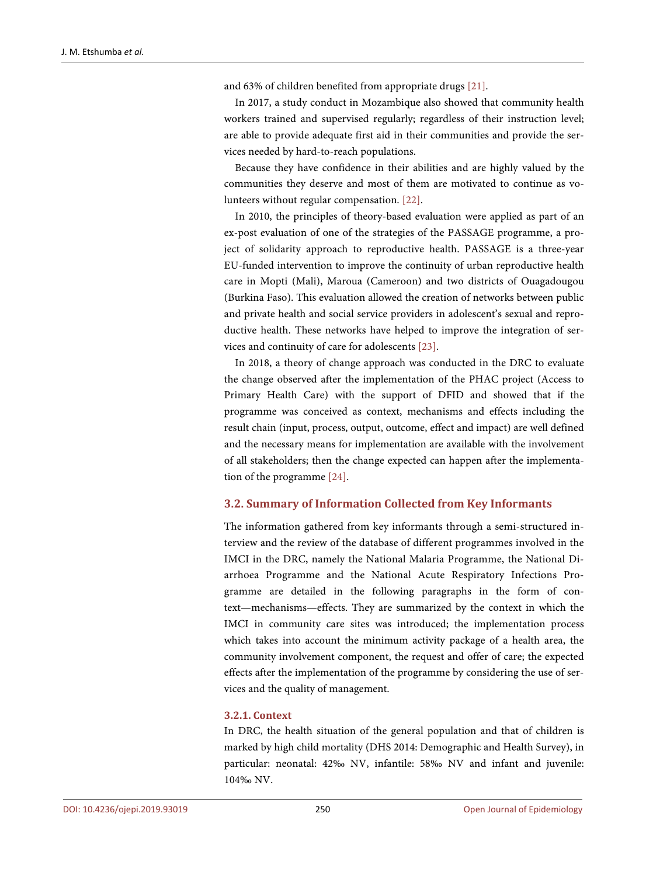and 63% of children benefited from appropriate drugs [\[21\].](#page-13-15)

In 2017, a study conduct in Mozambique also showed that community health workers trained and supervised regularly; regardless of their instruction level; are able to provide adequate first aid in their communities and provide the services needed by hard-to-reach populations.

Because they have confidence in their abilities and are highly valued by the communities they deserve and most of them are motivated to continue as volunteers without regular compensation. [\[22\].](#page-13-16)

In 2010, the principles of theory-based evaluation were applied as part of an ex-post evaluation of one of the strategies of the PASSAGE programme, a project of solidarity approach to reproductive health. PASSAGE is a three-year EU-funded intervention to improve the continuity of urban reproductive health care in Mopti (Mali), Maroua (Cameroon) and two districts of Ouagadougou (Burkina Faso). This evaluation allowed the creation of networks between public and private health and social service providers in adolescent's sexual and reproductive health. These networks have helped to improve the integration of services and continuity of care for adolescents [\[23\].](#page-14-0)

In 2018, a theory of change approach was conducted in the DRC to evaluate the change observed after the implementation of the PHAC project (Access to Primary Health Care) with the support of DFID and showed that if the programme was conceived as context, mechanisms and effects including the result chain (input, process, output, outcome, effect and impact) are well defined and the necessary means for implementation are available with the involvement of all stakeholders; then the change expected can happen after the implementation of the programme [\[24\].](#page-14-1)

## **3.2. Summary of Information Collected from Key Informants**

The information gathered from key informants through a semi-structured interview and the review of the database of different programmes involved in the IMCI in the DRC, namely the National Malaria Programme, the National Diarrhoea Programme and the National Acute Respiratory Infections Programme are detailed in the following paragraphs in the form of context—mechanisms—effects. They are summarized by the context in which the IMCI in community care sites was introduced; the implementation process which takes into account the minimum activity package of a health area, the community involvement component, the request and offer of care; the expected effects after the implementation of the programme by considering the use of services and the quality of management.

## **3.2.1. Context**

In DRC, the health situation of the general population and that of children is marked by high child mortality (DHS 2014: Demographic and Health Survey), in particular: neonatal: 42‰ NV, infantile: 58‰ NV and infant and juvenile: 104‰ NV.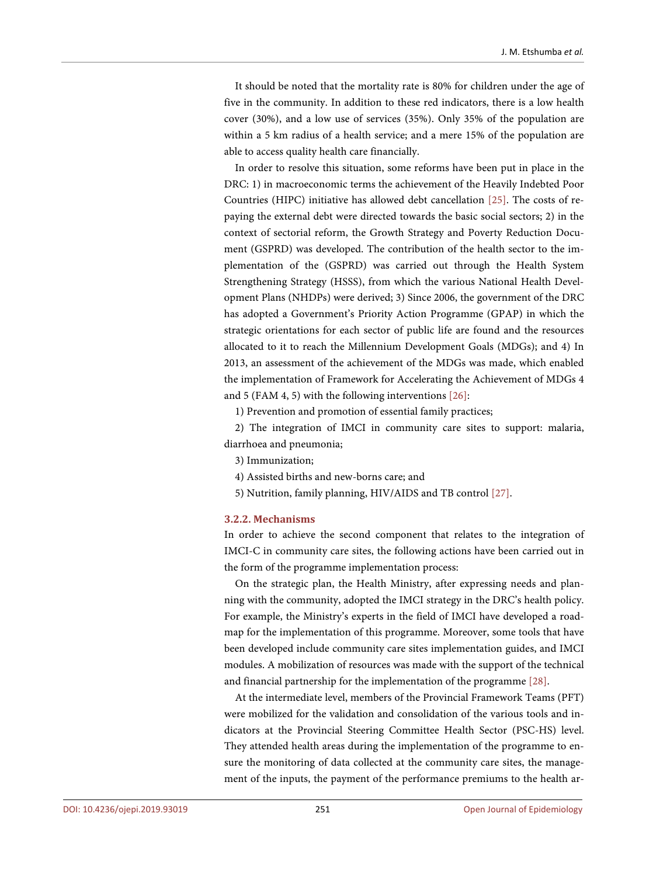It should be noted that the mortality rate is 80% for children under the age of five in the community. In addition to these red indicators, there is a low health cover (30%), and a low use of services (35%). Only 35% of the population are within a 5 km radius of a health service; and a mere 15% of the population are able to access quality health care financially.

In order to resolve this situation, some reforms have been put in place in the DRC: 1) in macroeconomic terms the achievement of the Heavily Indebted Poor Countries (HIPC) initiative has allowed debt cancellation [\[25\].](#page-14-2) The costs of repaying the external debt were directed towards the basic social sectors; 2) in the context of sectorial reform, the Growth Strategy and Poverty Reduction Document (GSPRD) was developed. The contribution of the health sector to the implementation of the (GSPRD) was carried out through the Health System Strengthening Strategy (HSSS), from which the various National Health Development Plans (NHDPs) were derived; 3) Since 2006, the government of the DRC has adopted a Government's Priority Action Programme (GPAP) in which the strategic orientations for each sector of public life are found and the resources allocated to it to reach the Millennium Development Goals (MDGs); and 4) In 2013, an assessment of the achievement of the MDGs was made, which enabled the implementation of Framework for Accelerating the Achievement of MDGs 4 and 5 (FAM 4, 5) with the following interventions [\[26\]:](#page-14-3)

1) Prevention and promotion of essential family practices;

2) The integration of IMCI in community care sites to support: malaria, diarrhoea and pneumonia;

- 3) Immunization;
- 4) Assisted births and new-borns care; and
- 5) Nutrition, family planning, HIV/AIDS and TB control [\[27\].](#page-14-4)

#### **3.2.2. Mechanisms**

In order to achieve the second component that relates to the integration of IMCI-C in community care sites, the following actions have been carried out in the form of the programme implementation process:

On the strategic plan, the Health Ministry, after expressing needs and planning with the community, adopted the IMCI strategy in the DRC's health policy. For example, the Ministry's experts in the field of IMCI have developed a roadmap for the implementation of this programme. Moreover, some tools that have been developed include community care sites implementation guides, and IMCI modules. A mobilization of resources was made with the support of the technical and financial partnership for the implementation of the programme [\[28\].](#page-14-5) 

At the intermediate level, members of the Provincial Framework Teams (PFT) were mobilized for the validation and consolidation of the various tools and indicators at the Provincial Steering Committee Health Sector (PSC-HS) level. They attended health areas during the implementation of the programme to ensure the monitoring of data collected at the community care sites, the management of the inputs, the payment of the performance premiums to the health ar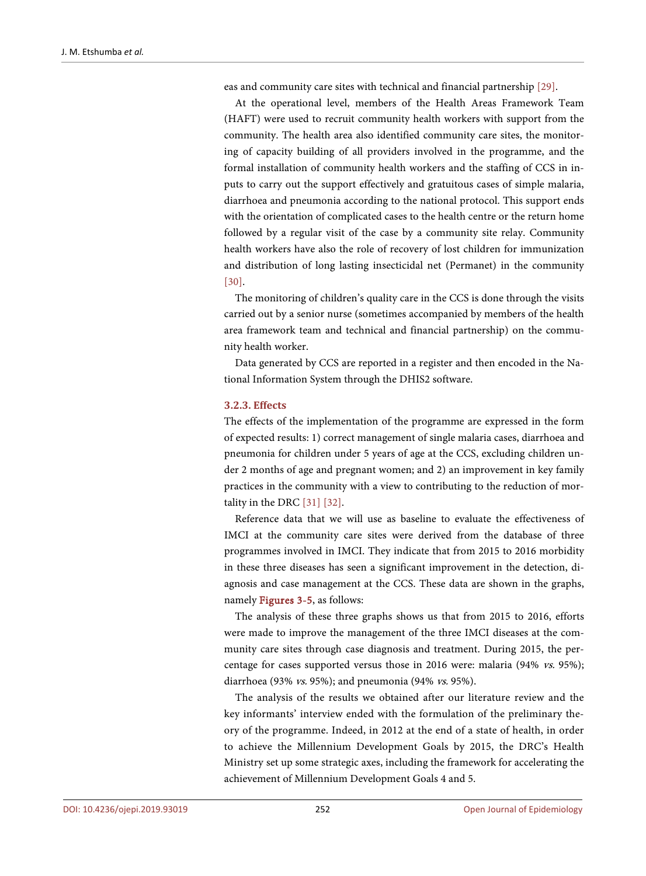eas and community care sites with technical and financial partnership [\[29\].](#page-14-6)

At the operational level, members of the Health Areas Framework Team (HAFT) were used to recruit community health workers with support from the community. The health area also identified community care sites, the monitoring of capacity building of all providers involved in the programme, and the formal installation of community health workers and the staffing of CCS in inputs to carry out the support effectively and gratuitous cases of simple malaria, diarrhoea and pneumonia according to the national protocol. This support ends with the orientation of complicated cases to the health centre or the return home followed by a regular visit of the case by a community site relay. Community health workers have also the role of recovery of lost children for immunization and distribution of long lasting insecticidal net (Permanet) in the community [\[30\].](#page-14-7)

The monitoring of children's quality care in the CCS is done through the visits carried out by a senior nurse (sometimes accompanied by members of the health area framework team and technical and financial partnership) on the community health worker.

Data generated by CCS are reported in a register and then encoded in the National Information System through the DHIS2 software.

#### **3.2.3. Effects**

The effects of the implementation of the programme are expressed in the form of expected results: 1) correct management of single malaria cases, diarrhoea and pneumonia for children under 5 years of age at the CCS, excluding children under 2 months of age and pregnant women; and 2) an improvement in key family practices in the community with a view to contributing to the reduction of mortality in the DRC [\[31\]](#page-14-8) [\[32\].](#page-14-9)

Reference data that we will use as baseline to evaluate the effectiveness of IMCI at the community care sites were derived from the database of three programmes involved in IMCI. They indicate that from 2015 to 2016 morbidity in these three diseases has seen a significant improvement in the detection, diagnosis and case management at the CCS. These data are shown in the graphs, namely [Figures 3-5,](#page-10-0) as follows:

The analysis of these three graphs shows us that from 2015 to 2016, efforts were made to improve the management of the three IMCI diseases at the community care sites through case diagnosis and treatment. During 2015, the percentage for cases supported versus those in 2016 were: malaria (94% vs. 95%); diarrhoea (93% vs. 95%); and pneumonia (94% vs. 95%).

The analysis of the results we obtained after our literature review and the key informants' interview ended with the formulation of the preliminary theory of the programme. Indeed, in 2012 at the end of a state of health, in order to achieve the Millennium Development Goals by 2015, the DRC's Health Ministry set up some strategic axes, including the framework for accelerating the achievement of Millennium Development Goals 4 and 5.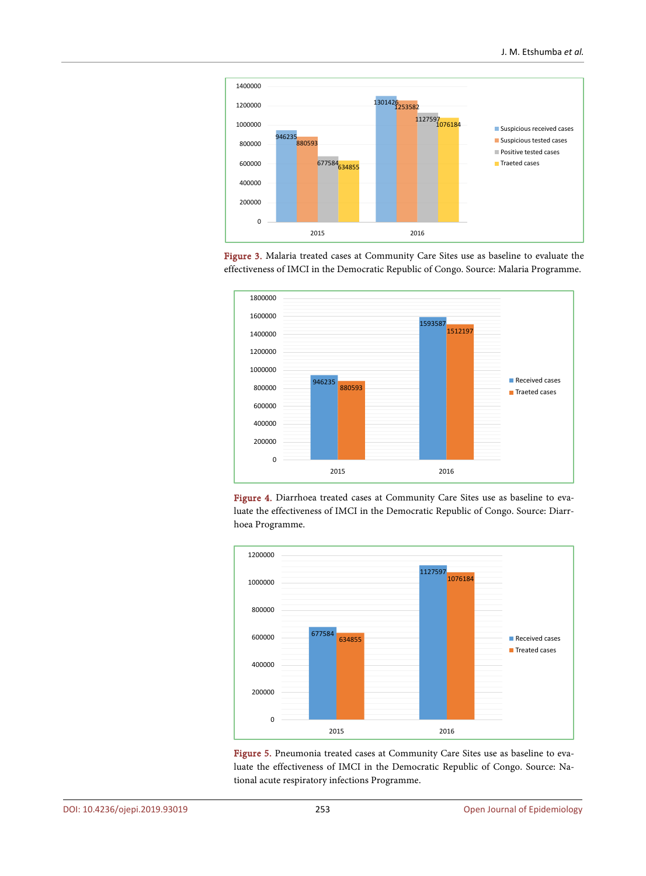<span id="page-10-0"></span>





Figure 4. Diarrhoea treated cases at Community Care Sites use as baseline to evaluate the effectiveness of IMCI in the Democratic Republic of Congo. Source: Diarrhoea Programme.



Figure 5. Pneumonia treated cases at Community Care Sites use as baseline to evaluate the effectiveness of IMCI in the Democratic Republic of Congo. Source: National acute respiratory infections Programme.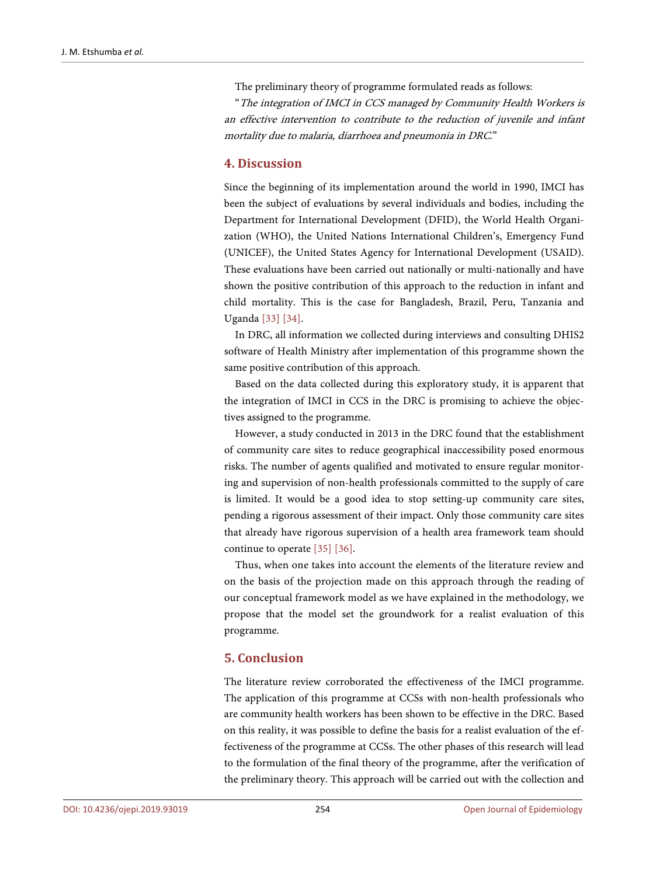The preliminary theory of programme formulated reads as follows:

"The integration of IMCI in CCS managed by Community Health Workers is an effective intervention to contribute to the reduction of juvenile and infant mortality due to malaria, diarrhoea and pneumonia in DRC."

## **4. Discussion**

Since the beginning of its implementation around the world in 1990, IMCI has been the subject of evaluations by several individuals and bodies, including the Department for International Development (DFID), the World Health Organization (WHO), the United Nations International Children's, Emergency Fund (UNICEF), the United States Agency for International Development (USAID). These evaluations have been carried out nationally or multi-nationally and have shown the positive contribution of this approach to the reduction in infant and child mortality. This is the case for Bangladesh, Brazil, Peru, Tanzania and Uganda [\[33\]](#page-14-10) [\[34\].](#page-14-11)

In DRC, all information we collected during interviews and consulting DHIS2 software of Health Ministry after implementation of this programme shown the same positive contribution of this approach.

Based on the data collected during this exploratory study, it is apparent that the integration of IMCI in CCS in the DRC is promising to achieve the objectives assigned to the programme.

However, a study conducted in 2013 in the DRC found that the establishment of community care sites to reduce geographical inaccessibility posed enormous risks. The number of agents qualified and motivated to ensure regular monitoring and supervision of non-health professionals committed to the supply of care is limited. It would be a good idea to stop setting-up community care sites, pending a rigorous assessment of their impact. Only those community care sites that already have rigorous supervision of a health area framework team should continue to operate [\[35\]](#page-14-12) [\[36\].](#page-14-13)

Thus, when one takes into account the elements of the literature review and on the basis of the projection made on this approach through the reading of our conceptual framework model as we have explained in the methodology, we propose that the model set the groundwork for a realist evaluation of this programme.

# **5. Conclusion**

The literature review corroborated the effectiveness of the IMCI programme. The application of this programme at CCSs with non-health professionals who are community health workers has been shown to be effective in the DRC. Based on this reality, it was possible to define the basis for a realist evaluation of the effectiveness of the programme at CCSs. The other phases of this research will lead to the formulation of the final theory of the programme, after the verification of the preliminary theory. This approach will be carried out with the collection and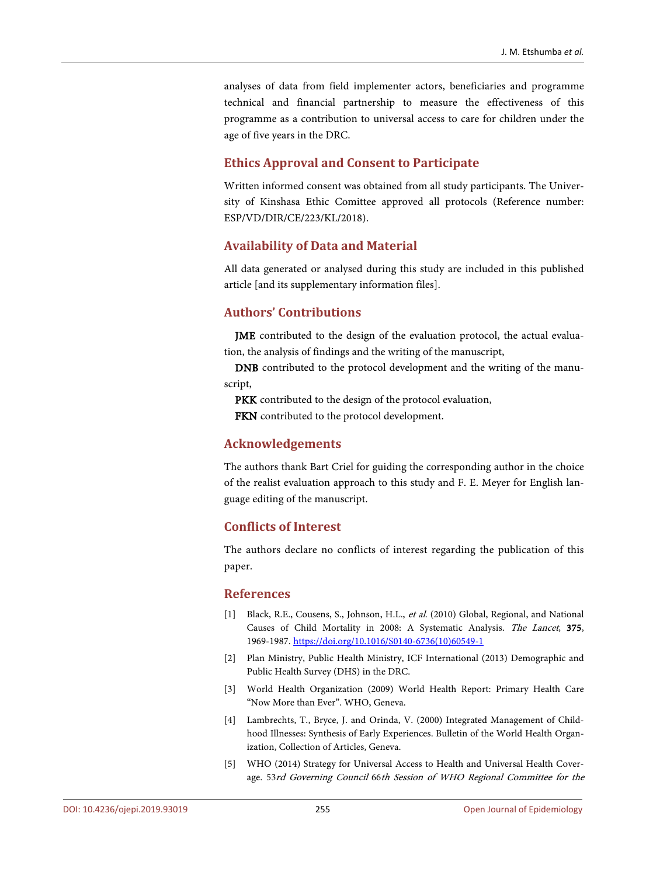analyses of data from field implementer actors, beneficiaries and programme technical and financial partnership to measure the effectiveness of this programme as a contribution to universal access to care for children under the age of five years in the DRC.

## **Ethics Approval and Consent to Participate**

Written informed consent was obtained from all study participants. The University of Kinshasa Ethic Comittee approved all protocols (Reference number: ESP/VD/DIR/CE/223/KL/2018).

## **Availability of Data and Material**

All data generated or analysed during this study are included in this published article [and its supplementary information files].

# **Authors' Contributions**

JME contributed to the design of the evaluation protocol, the actual evaluation, the analysis of findings and the writing of the manuscript,

DNB contributed to the protocol development and the writing of the manuscript,

PKK contributed to the design of the protocol evaluation,

FKN contributed to the protocol development.

## **Acknowledgements**

The authors thank Bart Criel for guiding the corresponding author in the choice of the realist evaluation approach to this study and F. E. Meyer for English language editing of the manuscript.

## **Conflicts of Interest**

The authors declare no conflicts of interest regarding the publication of this paper.

## **References**

- <span id="page-12-0"></span>[1] Black, R.E., Cousens, S., Johnson, H.L., et al. (2010) Global, Regional, and National Causes of Child Mortality in 2008: A Systematic Analysis. The Lancet, 375, 1969-1987. [https://doi.org/10.1016/S0140-6736\(10\)60549-1](https://doi.org/10.1016/S0140-6736(10)60549-1)
- <span id="page-12-1"></span>[2] Plan Ministry, Public Health Ministry, ICF International (2013) Demographic and Public Health Survey (DHS) in the DRC.
- <span id="page-12-2"></span>[3] World Health Organization (2009) World Health Report: Primary Health Care "Now More than Ever". WHO, Geneva.
- <span id="page-12-3"></span>[4] Lambrechts, T., Bryce, J. and Orinda, V. (2000) Integrated Management of Childhood Illnesses: Synthesis of Early Experiences. Bulletin of the World Health Organization, Collection of Articles, Geneva.
- <span id="page-12-4"></span>[5] WHO (2014) Strategy for Universal Access to Health and Universal Health Coverage. 53rd Governing Council 66th Session of WHO Regional Committee for the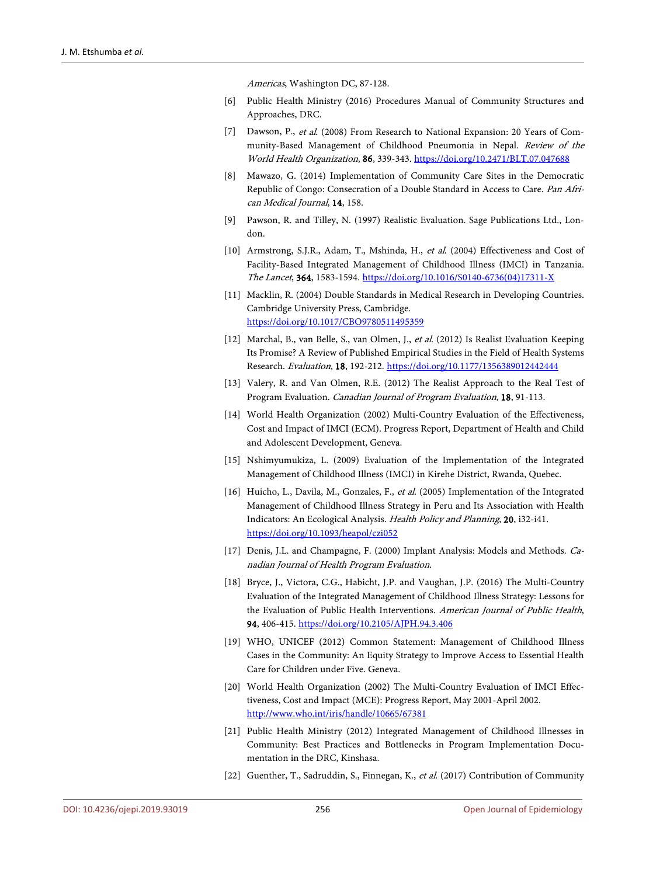Americas, Washington DC, 87-128.

- <span id="page-13-0"></span>[6] Public Health Ministry (2016) Procedures Manual of Community Structures and Approaches, DRC.
- <span id="page-13-1"></span>[7] Dawson, P., et al. (2008) From Research to National Expansion: 20 Years of Community-Based Management of Childhood Pneumonia in Nepal. Review of the World Health Organization, 86, 339-343. <https://doi.org/10.2471/BLT.07.047688>
- <span id="page-13-2"></span>[8] Mawazo, G. (2014) Implementation of Community Care Sites in the Democratic Republic of Congo: Consecration of a Double Standard in Access to Care. Pan African Medical Journal, 14, 158.
- <span id="page-13-3"></span>[9] Pawson, R. and Tilley, N. (1997) Realistic Evaluation. Sage Publications Ltd., London.
- <span id="page-13-4"></span>[10] Armstrong, S.J.R., Adam, T., Mshinda, H., et al. (2004) Effectiveness and Cost of Facility-Based Integrated Management of Childhood Illness (IMCI) in Tanzania. The Lancet, 364, 1583-1594. [https://doi.org/10.1016/S0140-6736\(04\)17311-X](https://doi.org/10.1016/S0140-6736(04)17311-X)
- <span id="page-13-5"></span>[11] Macklin, R. (2004) Double Standards in Medical Research in Developing Countries. Cambridge University Press, Cambridge. <https://doi.org/10.1017/CBO9780511495359>
- <span id="page-13-6"></span>[12] Marchal, B., van Belle, S., van Olmen, J., et al. (2012) Is Realist Evaluation Keeping Its Promise? A Review of Published Empirical Studies in the Field of Health Systems Research. Evaluation, 18, 192-212. <https://doi.org/10.1177/1356389012442444>
- <span id="page-13-7"></span>[13] Valery, R. and Van Olmen, R.E. (2012) The Realist Approach to the Real Test of Program Evaluation. Canadian Journal of Program Evaluation, 18, 91-113.
- <span id="page-13-8"></span>[14] World Health Organization (2002) Multi-Country Evaluation of the Effectiveness, Cost and Impact of IMCI (ECM). Progress Report, Department of Health and Child and Adolescent Development, Geneva.
- <span id="page-13-9"></span>[15] Nshimyumukiza, L. (2009) Evaluation of the Implementation of the Integrated Management of Childhood Illness (IMCI) in Kirehe District, Rwanda, Quebec.
- <span id="page-13-10"></span>[16] Huicho, L., Davila, M., Gonzales, F., et al. (2005) Implementation of the Integrated Management of Childhood Illness Strategy in Peru and Its Association with Health Indicators: An Ecological Analysis. Health Policy and Planning, 20, i32-i41. <https://doi.org/10.1093/heapol/czi052>
- <span id="page-13-11"></span>[17] Denis, J.L. and Champagne, F. (2000) Implant Analysis: Models and Methods. Canadian Journal of Health Program Evaluation.
- <span id="page-13-12"></span>[18] Bryce, J., Victora, C.G., Habicht, J.P. and Vaughan, J.P. (2016) The Multi-Country Evaluation of the Integrated Management of Childhood Illness Strategy: Lessons for the Evaluation of Public Health Interventions. American Journal of Public Health, 94, 406-415. <https://doi.org/10.2105/AJPH.94.3.406>
- <span id="page-13-13"></span>[19] WHO, UNICEF (2012) Common Statement: Management of Childhood Illness Cases in the Community: An Equity Strategy to Improve Access to Essential Health Care for Children under Five. Geneva.
- <span id="page-13-14"></span>[20] World Health Organization (2002) The Multi-Country Evaluation of IMCI Effectiveness, Cost and Impact (MCE): Progress Report, May 2001-April 2002. <http://www.who.int/iris/handle/10665/67381>
- <span id="page-13-15"></span>[21] Public Health Ministry (2012) Integrated Management of Childhood Illnesses in Community: Best Practices and Bottlenecks in Program Implementation Documentation in the DRC, Kinshasa.
- <span id="page-13-16"></span>[22] Guenther, T., Sadruddin, S., Finnegan, K., et al. (2017) Contribution of Community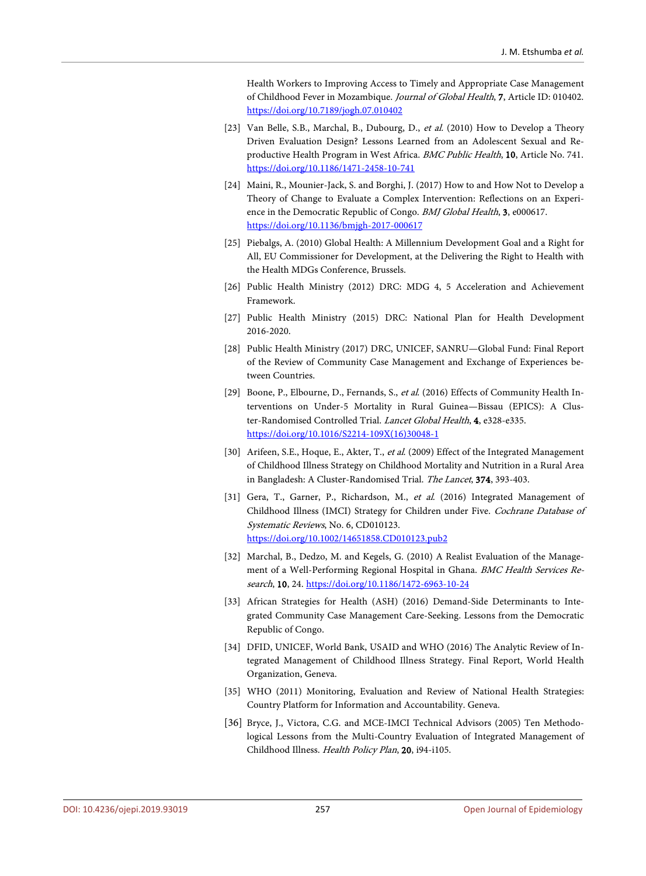Health Workers to Improving Access to Timely and Appropriate Case Management of Childhood Fever in Mozambique. Journal of Global Health, 7, Article ID: 010402. <https://doi.org/10.7189/jogh.07.010402>

- <span id="page-14-0"></span>[23] Van Belle, S.B., Marchal, B., Dubourg, D., et al. (2010) How to Develop a Theory Driven Evaluation Design? Lessons Learned from an Adolescent Sexual and Reproductive Health Program in West Africa. BMC Public Health, 10, Article No. 741. <https://doi.org/10.1186/1471-2458-10-741>
- <span id="page-14-1"></span>[24] Maini, R., Mounier-Jack, S. and Borghi, J. (2017) How to and How Not to Develop a Theory of Change to Evaluate a Complex Intervention: Reflections on an Experience in the Democratic Republic of Congo. BMJ Global Health, 3, e000617. <https://doi.org/10.1136/bmjgh-2017-000617>
- <span id="page-14-2"></span>[25] Piebalgs, A. (2010) Global Health: A Millennium Development Goal and a Right for All, EU Commissioner for Development, at the Delivering the Right to Health with the Health MDGs Conference, Brussels.
- <span id="page-14-3"></span>[26] Public Health Ministry (2012) DRC: MDG 4, 5 Acceleration and Achievement Framework.
- <span id="page-14-4"></span>[27] Public Health Ministry (2015) DRC: National Plan for Health Development 2016-2020.
- <span id="page-14-5"></span>[28] Public Health Ministry (2017) DRC, UNICEF, SANRU—Global Fund: Final Report of the Review of Community Case Management and Exchange of Experiences between Countries.
- <span id="page-14-6"></span>[29] Boone, P., Elbourne, D., Fernands, S., et al. (2016) Effects of Community Health Interventions on Under-5 Mortality in Rural Guinea—Bissau (EPICS): A Cluster-Randomised Controlled Trial. Lancet Global Health, 4, e328-e335. [https://doi.org/10.1016/S2214-109X\(16\)30048-1](https://doi.org/10.1016/S2214-109X(16)30048-1)
- <span id="page-14-7"></span>[30] Arifeen, S.E., Hoque, E., Akter, T., et al. (2009) Effect of the Integrated Management of Childhood Illness Strategy on Childhood Mortality and Nutrition in a Rural Area in Bangladesh: A Cluster-Randomised Trial. The Lancet, 374, 393-403.
- <span id="page-14-8"></span>[31] Gera, T., Garner, P., Richardson, M., et al. (2016) Integrated Management of Childhood Illness (IMCI) Strategy for Children under Five. Cochrane Database of Systematic Reviews, No. 6, CD010123. <https://doi.org/10.1002/14651858.CD010123.pub2>
- <span id="page-14-9"></span>[32] Marchal, B., Dedzo, M. and Kegels, G. (2010) A Realist Evaluation of the Management of a Well-Performing Regional Hospital in Ghana. BMC Health Services Research, 10, 24. <https://doi.org/10.1186/1472-6963-10-24>
- <span id="page-14-10"></span>[33] African Strategies for Health (ASH) (2016) Demand-Side Determinants to Integrated Community Case Management Care-Seeking. Lessons from the Democratic Republic of Congo.
- <span id="page-14-11"></span>[34] DFID, UNICEF, World Bank, USAID and WHO (2016) The Analytic Review of Integrated Management of Childhood Illness Strategy. Final Report, World Health Organization, Geneva.
- <span id="page-14-12"></span>[35] WHO (2011) Monitoring, Evaluation and Review of National Health Strategies: Country Platform for Information and Accountability. Geneva.
- <span id="page-14-13"></span>[36] Bryce, J., Victora, C.G. and MCE-IMCI Technical Advisors (2005) Ten Methodological Lessons from the Multi-Country Evaluation of Integrated Management of Childhood Illness. Health Policy Plan, 20, i94-i105.